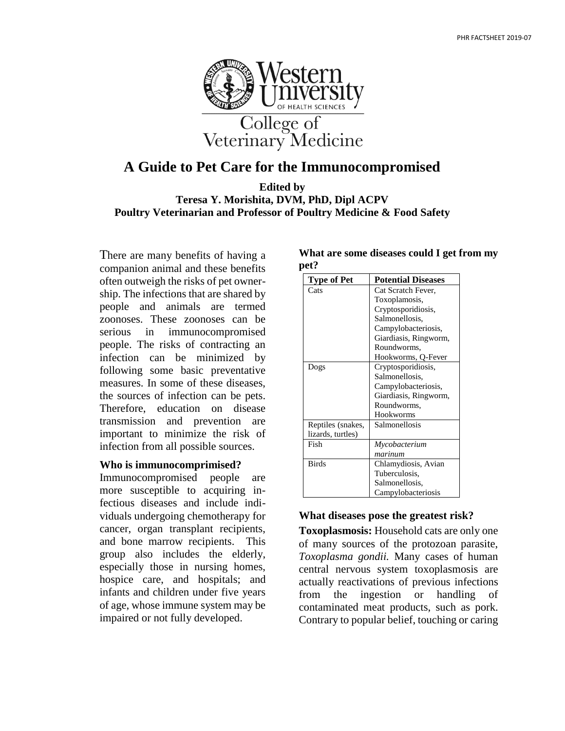

# **A Guide to Pet Care for the Immunocompromised**

**Edited by Teresa Y. Morishita, DVM, PhD, Dipl ACPV Poultry Veterinarian and Professor of Poultry Medicine & Food Safety**

There are many benefits of having a companion animal and these benefits often outweigh the risks of pet ownership. The infections that are shared by people and animals are termed zoonoses. These zoonoses can be serious in immunocompromised people. The risks of contracting an infection can be minimized by following some basic preventative measures. In some of these diseases, the sources of infection can be pets. Therefore, education on disease transmission and prevention are important to minimize the risk of infection from all possible sources.

#### **Who is immunocomprimised?**

Immunocompromised people are more susceptible to acquiring infectious diseases and include individuals undergoing chemotherapy for cancer, organ transplant recipients, and bone marrow recipients. This group also includes the elderly, especially those in nursing homes, hospice care, and hospitals; and infants and children under five years of age, whose immune system may be impaired or not fully developed.

| What are some diseases could I get from my |  |  |
|--------------------------------------------|--|--|
| pet?                                       |  |  |

| <b>Type of Pet</b> | <b>Potential Diseases</b> |  |
|--------------------|---------------------------|--|
| Cats               | Cat Scratch Fever,        |  |
|                    | Toxoplamosis,             |  |
|                    | Cryptosporidiosis,        |  |
|                    | Salmonellosis,            |  |
|                    | Campylobacteriosis,       |  |
|                    | Giardiasis, Ringworm,     |  |
|                    | Roundworms,               |  |
|                    | Hookworms, Q-Fever        |  |
| Dogs               | Cryptosporidiosis,        |  |
|                    | Salmonellosis,            |  |
|                    | Campylobacteriosis,       |  |
|                    | Giardiasis, Ringworm,     |  |
|                    | Roundworms,               |  |
|                    | Hookworms                 |  |
| Reptiles (snakes,  | Salmonellosis             |  |
| lizards, turtles)  |                           |  |
| Fish               | Mycobacterium             |  |
|                    | marinum                   |  |
| <b>Birds</b>       | Chlamydiosis, Avian       |  |
|                    | Tuberculosis,             |  |
|                    | Salmonellosis,            |  |
|                    | Campylobacteriosis        |  |

### **What diseases pose the greatest risk?**

**Toxoplasmosis:** Household cats are only one of many sources of the protozoan parasite, *Toxoplasma gondii.* Many cases of human central nervous system toxoplasmosis are actually reactivations of previous infections from the ingestion or handling of contaminated meat products, such as pork. Contrary to popular belief, touching or caring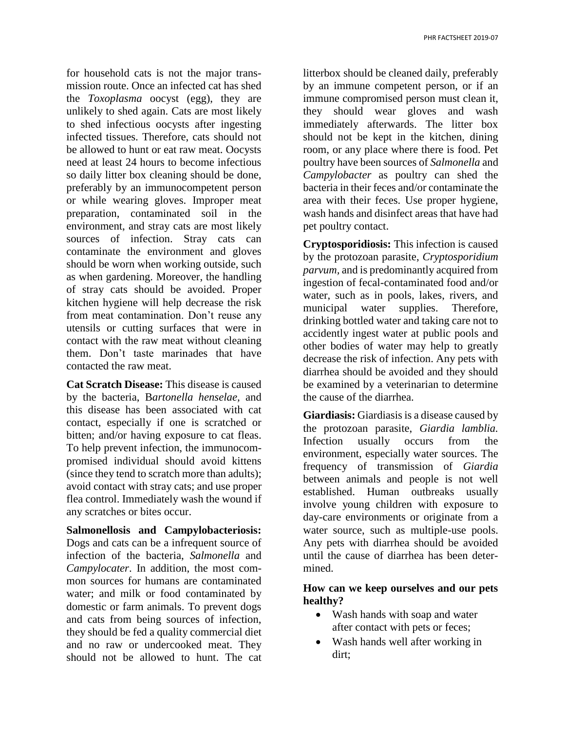for household cats is not the major transmission route. Once an infected cat has shed the *Toxoplasma* oocyst (egg), they are unlikely to shed again. Cats are most likely to shed infectious oocysts after ingesting infected tissues. Therefore, cats should not be allowed to hunt or eat raw meat. Oocysts need at least 24 hours to become infectious so daily litter box cleaning should be done, preferably by an immunocompetent person or while wearing gloves. Improper meat preparation, contaminated soil in the environment, and stray cats are most likely sources of infection. Stray cats can contaminate the environment and gloves should be worn when working outside, such as when gardening. Moreover, the handling of stray cats should be avoided. Proper kitchen hygiene will help decrease the risk from meat contamination. Don't reuse any utensils or cutting surfaces that were in contact with the raw meat without cleaning them. Don't taste marinades that have contacted the raw meat.

**Cat Scratch Disease:** This disease is caused by the bacteria, B*artonella henselae,* and this disease has been associated with cat contact, especially if one is scratched or bitten; and/or having exposure to cat fleas. To help prevent infection, the immunocompromised individual should avoid kittens (since they tend to scratch more than adults); avoid contact with stray cats; and use proper flea control. Immediately wash the wound if any scratches or bites occur.

**Salmonellosis and Campylobacteriosis:**  Dogs and cats can be a infrequent source of infection of the bacteria, *Salmonella* and *Campylocater*. In addition, the most common sources for humans are contaminated water; and milk or food contaminated by domestic or farm animals. To prevent dogs and cats from being sources of infection, they should be fed a quality commercial diet and no raw or undercooked meat. They should not be allowed to hunt. The cat

litterbox should be cleaned daily, preferably by an immune competent person, or if an immune compromised person must clean it, they should wear gloves and wash immediately afterwards. The litter box should not be kept in the kitchen, dining room, or any place where there is food. Pet poultry have been sources of *Salmonella* and *Campylobacter* as poultry can shed the bacteria in their feces and/or contaminate the area with their feces. Use proper hygiene, wash hands and disinfect areas that have had pet poultry contact.

**Cryptosporidiosis:** This infection is caused by the protozoan parasite, *Cryptosporidium parvum,* and is predominantly acquired from ingestion of fecal-contaminated food and/or water, such as in pools, lakes, rivers, and municipal water supplies. Therefore, drinking bottled water and taking care not to accidently ingest water at public pools and other bodies of water may help to greatly decrease the risk of infection. Any pets with diarrhea should be avoided and they should be examined by a veterinarian to determine the cause of the diarrhea.

**Giardiasis:** Giardiasis is a disease caused by the protozoan parasite, *Giardia lamblia.* Infection usually occurs from the environment, especially water sources. The frequency of transmission of *Giardia* between animals and people is not well established. Human outbreaks usually involve young children with exposure to day-care environments or originate from a water source, such as multiple-use pools. Any pets with diarrhea should be avoided until the cause of diarrhea has been determined.

## **How can we keep ourselves and our pets healthy?**

- Wash hands with soap and water after contact with pets or feces;
- Wash hands well after working in dirt;